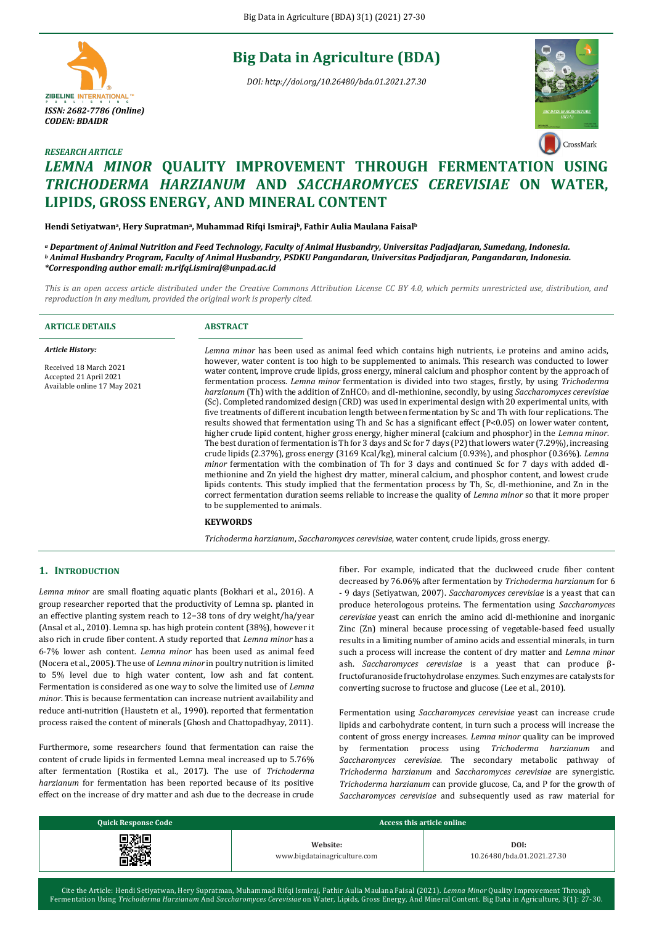# **Big Data in Agriculture (BDA)**

*DOI: http://doi.org/10.26480/bda.01.2021.27.30*





# *RESEARCH ARTICLE LEMNA MINOR* **QUALITY IMPROVEMENT THROUGH FERMENTATION USING**  *TRICHODERMA HARZIANUM* **AND** *SACCHAROMYCES CEREVISIAE* **ON WATER, LIPIDS, GROSS ENERGY, AND MINERAL CONTENT**

**Hendi Setiyatwan<sup>a</sup> , Hery Supratman<sup>a</sup> , Muhammad Rifqi Ismirajb, Fathir Aulia Maulana Faisal<sup>b</sup>**

*<sup>a</sup> Department of Animal Nutrition and Feed Technology, Faculty of Animal Husbandry, Universitas Padjadjaran, Sumedang, Indonesia. <sup>b</sup> Animal Husbandry Program, Faculty of Animal Husbandry, PSDKU Pangandaran, Universitas Padjadjaran, Pangandaran, Indonesia. \*Corresponding author email: m.rifqi.ismiraj@unpad.ac.id*

*This is an open access article distributed under the Creative Commons Attribution License CC BY 4.0, which permits unrestricted use, distribution, and reproduction in any medium, provided the original work is properly cited.*

| <b>ARTICLE DETAILS</b>                                                                                      | <b>ABSTRACT</b>                                                                                                                                                                                                                                                                                                                                                                                                                                                                                                                                                                                                                                                                                                                                                                                                                                                                                                                                                                                                                                                                                                                                                                                                                                                                                                                                                                                                                                                                                                                                                                                                                                                                                                                                                                                         |
|-------------------------------------------------------------------------------------------------------------|---------------------------------------------------------------------------------------------------------------------------------------------------------------------------------------------------------------------------------------------------------------------------------------------------------------------------------------------------------------------------------------------------------------------------------------------------------------------------------------------------------------------------------------------------------------------------------------------------------------------------------------------------------------------------------------------------------------------------------------------------------------------------------------------------------------------------------------------------------------------------------------------------------------------------------------------------------------------------------------------------------------------------------------------------------------------------------------------------------------------------------------------------------------------------------------------------------------------------------------------------------------------------------------------------------------------------------------------------------------------------------------------------------------------------------------------------------------------------------------------------------------------------------------------------------------------------------------------------------------------------------------------------------------------------------------------------------------------------------------------------------------------------------------------------------|
| <b>Article History:</b><br>Received 18 March 2021<br>Accepted 21 April 2021<br>Available online 17 May 2021 | Lemna minor has been used as animal feed which contains high nutrients, i.e proteins and amino acids,<br>however, water content is too high to be supplemented to animals. This research was conducted to lower<br>water content, improve crude lipids, gross energy, mineral calcium and phosphor content by the approach of<br>fermentation process. Lemna minor fermentation is divided into two stages, firstly, by using Trichoderma<br>harzianum (Th) with the addition of ZnHCO <sub>3</sub> and dl-methionine, secondly, by using Saccharomyces cerevisiae<br>(Sc). Completed randomized design (CRD) was used in experimental design with 20 experimental units, with<br>five treatments of different incubation length between fermentation by Sc and Th with four replications. The<br>results showed that fermentation using Th and Sc has a significant effect $(P< 0.05)$ on lower water content,<br>higher crude lipid content, higher gross energy, higher mineral (calcium and phosphor) in the <i>Lemna minor</i> .<br>The best duration of fermentation is Th for 3 days and Sc for 7 days (P2) that lowers water (7.29%), increasing<br>crude lipids $(2.37%)$ , gross energy $(3169 \text{ Kcal/kg})$ , mineral calcium $(0.93%)$ , and phosphor $(0.36%)$ . Lemna<br><i>minor</i> fermentation with the combination of Th for 3 days and continued Sc for 7 days with added dl-<br>methionine and Zn yield the highest dry matter, mineral calcium, and phosphor content, and lowest crude<br>lipids contents. This study implied that the fermentation process by Th, Sc, dl-methionine, and Zn in the<br>correct fermentation duration seems reliable to increase the quality of <i>Lemna minor</i> so that it more proper<br>to be supplemented to animals.<br><b>KEYWORDS</b> |
|                                                                                                             |                                                                                                                                                                                                                                                                                                                                                                                                                                                                                                                                                                                                                                                                                                                                                                                                                                                                                                                                                                                                                                                                                                                                                                                                                                                                                                                                                                                                                                                                                                                                                                                                                                                                                                                                                                                                         |

*Trichoderma harzianum*, *Saccharomyces cerevisiae*, water content, crude lipids, gross energy.

# **1. INTRODUCTION**

*Lemna minor* are small floating aquatic plants (Bokhari et al., 2016). A group researcher reported that the productivity of Lemna sp. planted in an effective planting system reach to 12−38 tons of dry weight/ha/year (Ansal et al., 2010). Lemna sp. has high protein content (38%), however it also rich in crude fiber content. A study reported that *Lemna minor* has a 6-7% lower ash content. *Lemna minor* has been used as animal feed (Nocera et al., 2005). The use of *Lemna minor* in poultry nutrition is limited to 5% level due to high water content, low ash and fat content. Fermentation is considered as one way to solve the limited use of *Lemna minor*. This is because fermentation can increase nutrient availability and reduce anti-nutrition (Haustetn et al., 1990). reported that fermentation process raised the content of minerals (Ghosh and Chattopadhyay, 2011).

Furthermore, some researchers found that fermentation can raise the content of crude lipids in fermented Lemna meal increased up to 5.76% after fermentation (Rostika et al., 2017). The use of *Trichoderma harzianum* for fermentation has been reported because of its positive effect on the increase of dry matter and ash due to the decrease in crude fiber. For example, indicated that the duckweed crude fiber content decreased by 76.06% after fermentation by *Trichoderma harzianum* for 6 - 9 days (Setiyatwan, 2007). *Saccharomyces cerevisiae* is a yeast that can produce heterologous proteins. The fermentation using *Saccharomyces cerevisiae* yeast can enrich the amino acid dl-methionine and inorganic Zinc (Zn) mineral because processing of vegetable-based feed usually results in a limiting number of amino acids and essential minerals, in turn such a process will increase the content of dry matter and *Lemna minor*  ash. *Saccharomyces cerevisiae* is a yeast that can produce βfructofuranoside fructohydrolase enzymes. Such enzymes are catalysts for converting sucrose to fructose and glucose (Lee et al., 2010).

Fermentation using *Saccharomyces cerevisiae* yeast can increase crude lipids and carbohydrate content, in turn such a process will increase the content of gross energy increases. *Lemna minor* quality can be improved by fermentation process using *Trichoderma harzianum* and *Saccharomyces cerevisiae*. The secondary metabolic pathway of *Trichoderma harzianum* and *Saccharomyces cerevisiae* are synergistic. *Trichoderma harzianum* can provide glucose, Ca, and P for the growth of *Saccharomyces cerevisiae* and subsequently used as raw material for

| <b>Quick Response Code</b> | Access this article online   |                            |  |  |
|----------------------------|------------------------------|----------------------------|--|--|
| 9.XII                      | Website:                     | DOI:                       |  |  |
| -437                       | www.bigdatainagriculture.com | 10.26480/bda.01.2021.27.30 |  |  |

Cite the Article: Hendi Setiyatwan, Hery Supratman, Muhammad Rifqi Ismiraj, Fathir Aulia Maulana Faisal (2021). *Lemna Minor* Quality Improvement Through Fermentation Using *Trichoderma Harzianum* And *Saccharomyces Cerevisiae* on Water, Lipids, Gross Energy, And Mineral Content. Big Data in Agriculture, 3(1): 27-30.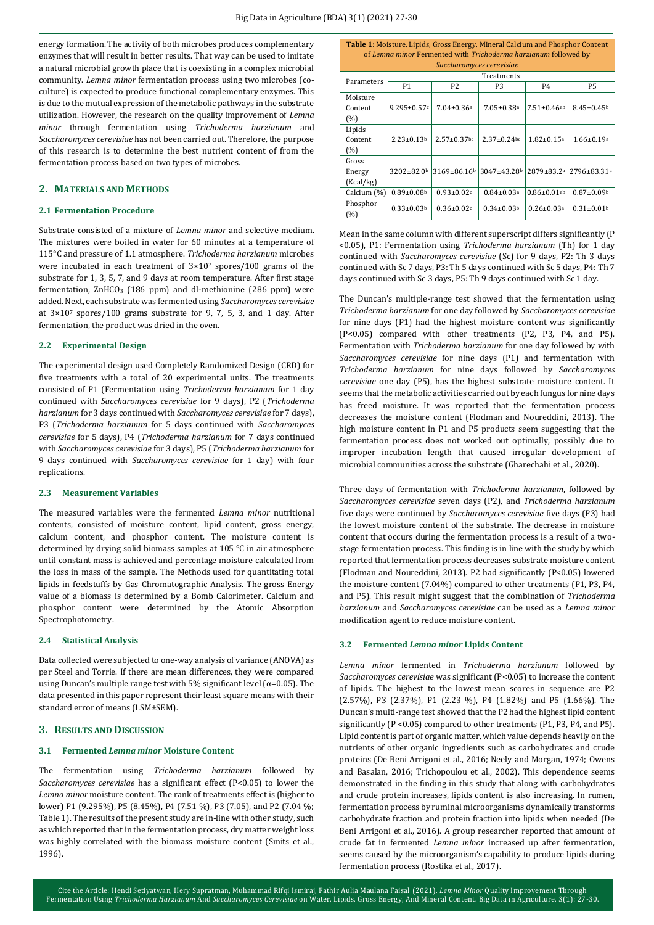energy formation. The activity of both microbes produces complementary enzymes that will result in better results. That way can be used to imitate a natural microbial growth place that is coexisting in a complex microbial community. *Lemna minor* fermentation process using two microbes (coculture) is expected to produce functional complementary enzymes. This is due to the mutual expression of the metabolic pathways in the substrate utilization. However, the research on the quality improvement of *Lemna minor* through fermentation using *Trichoderma harzianum* and *Saccharomyces cerevisiae* has not been carried out. Therefore, the purpose of this research is to determine the best nutrient content of from the fermentation process based on two types of microbes.

## **2. MATERIALS AND METHODS**

### **2.1 Fermentation Procedure**

Substrate consisted of a mixture of *Lemna minor* and selective medium. The mixtures were boiled in water for 60 minutes at a temperature of 115°C and pressure of 1.1 atmosphere. *Trichoderma harzianum* microbes were incubated in each treatment of 3×10<sup>7</sup> spores/100 grams of the substrate for 1, 3, 5, 7, and 9 days at room temperature. After first stage fermentation,  $ZnHCO<sub>3</sub>$  (186 ppm) and dl-methionine (286 ppm) were added. Next, each substrate was fermented using *Saccharomyces cerevisiae* at 3×10<sup>7</sup> spores/100 grams substrate for 9, 7, 5, 3, and 1 day. After fermentation, the product was dried in the oven.

#### **2.2 Experimental Design**

The experimental design used Completely Randomized Design (CRD) for five treatments with a total of 20 experimental units. The treatments consisted of P1 (Fermentation using *Trichoderma harzianum* for 1 day continued with *Saccharomyces cerevisiae* for 9 days), P2 (*Trichoderma harzianum* for 3 days continued with *Saccharomyces cerevisiae* for 7 days), P3 (*Trichoderma harzianum* for 5 days continued with *Saccharomyces cerevisiae* for 5 days), P4 (*Trichoderma harzianum* for 7 days continued with *Saccharomyces cerevisiae* for 3 days), P5 (*Trichoderma harzianum* for 9 days continued with *Saccharomyces cerevisiae* for 1 day) with four replications.

#### **2.3 Measurement Variables**

The measured variables were the fermented *Lemna minor* nutritional contents, consisted of moisture content, lipid content, gross energy, calcium content, and phosphor content. The moisture content is determined by drying solid biomass samples at 105 °C in air atmosphere until constant mass is achieved and percentage moisture calculated from the loss in mass of the sample. The Methods used for quantitating total lipids in feedstuffs by Gas Chromatographic Analysis. The gross Energy value of a biomass is determined by a Bomb Calorimeter. Calcium and phosphor content were determined by the Atomic Absorption Spectrophotometry.

#### **2.4 Statistical Analysis**

Data collected were subjected to one-way analysis of variance (ANOVA) as per Steel and Torrie. If there are mean differences, they were compared using Duncan's multiple range test with 5% significant level ( $\alpha$ =0.05). The data presented in this paper represent their least square means with their standard error of means (LSM±SEM).

#### **3. RESULTS AND DISCUSSION**

#### **3.1 Fermented** *Lemna minor* **Moisture Content**

The fermentation using *Trichoderma harzianum* followed by *Saccharomyces cerevisiae* has a significant effect (P<0.05) to lower the *Lemna minor* moisture content. The rank of treatments effect is (higher to lower) P1 (9.295%), P5 (8.45%), P4 (7.51 %), P3 (7.05), and P2 (7.04 %; Table 1). The results of the present study are in-line with other study, such as which reported that in the fermentation process, dry matter weight loss was highly correlated with the biomass moisture content (Smits et al., 1996).

| <b>Table 1:</b> Moisture, Lipids, Gross Energy, Mineral Calcium and Phosphor Content        |                              |                              |                              |                              |                              |  |  |  |
|---------------------------------------------------------------------------------------------|------------------------------|------------------------------|------------------------------|------------------------------|------------------------------|--|--|--|
| of Lemna minor Fermented with Trichoderma harzianum followed by<br>Saccharomyces cerevisiae |                              |                              |                              |                              |                              |  |  |  |
| Parameters                                                                                  | Treatments                   |                              |                              |                              |                              |  |  |  |
|                                                                                             | P1                           | P <sub>2</sub>               | P3                           | P <sub>4</sub>               | Р5                           |  |  |  |
| Moisture                                                                                    |                              |                              |                              |                              |                              |  |  |  |
| Content                                                                                     | $9.295 \pm 0.57$ c           | $7.04 \pm 0.36$ <sup>a</sup> | $7.05 \pm 0.38$ <sup>a</sup> | $7.51 \pm 0.46$ ab           | $8.45 \pm 0.45$ <sup>b</sup> |  |  |  |
| (%)                                                                                         |                              |                              |                              |                              |                              |  |  |  |
| Lipids                                                                                      |                              |                              |                              |                              |                              |  |  |  |
| Content                                                                                     | $2.23 \pm 0.13$ <sup>b</sup> | $2.57 \pm 0.37$ bc           | $2.37 \pm 0.24$ bc           | $1.82 \pm 0.15$ <sup>a</sup> | $1.66 \pm 0.19$ <sup>a</sup> |  |  |  |
| (%)                                                                                         |                              |                              |                              |                              |                              |  |  |  |
| Gross                                                                                       |                              |                              |                              |                              |                              |  |  |  |
| Energy                                                                                      | $3202 \pm 82.0$ <sup>b</sup> | 3169±86.16 <sup>b</sup>      | 3047±43.28 <sup>b</sup>      | 2879±83.2ª                   | $12796 \pm 83.31^a$          |  |  |  |
| (Kcal/kg)                                                                                   |                              |                              |                              |                              |                              |  |  |  |
| Calcium (%)                                                                                 | $0.89 \pm 0.08$ <sup>b</sup> | $0.93 \pm 0.02c$             | $0.84 \pm 0.03$ <sup>a</sup> | $0.86 \pm 0.01$ ab           | $0.87 \pm 0.09$ <sup>b</sup> |  |  |  |
| Phosphor                                                                                    | $0.33 \pm 0.03b$             | $0.36 \pm 0.02$ c            | $0.34 \pm 0.03$ <sup>b</sup> | $0.26 \pm 0.03$ <sup>a</sup> | $0.31 \pm 0.01$ <sup>b</sup> |  |  |  |
| (%)                                                                                         |                              |                              |                              |                              |                              |  |  |  |

Mean in the same column with different superscript differs significantly (P <0.05), P1: Fermentation using *Trichoderma harzianum* (Th) for 1 day continued with *Saccharomyces cerevisiae* (Sc) for 9 days, P2: Th 3 days continued with Sc 7 days, P3: Th 5 days continued with Sc 5 days, P4: Th 7 days continued with Sc 3 days, P5: Th 9 days continued with Sc 1 day.

The Duncan's multiple-range test showed that the fermentation using *Trichoderma harzianum* for one day followed by *Saccharomyces cerevisiae* for nine days (P1) had the highest moisture content was significantly (P<0.05) compared with other treatments (P2, P3, P4, and P5). Fermentation with *Trichoderma harzianum* for one day followed by with *Saccharomyces cerevisiae* for nine days (P1) and fermentation with *Trichoderma harzianum* for nine days followed by *Saccharomyces cerevisiae* one day (P5), has the highest substrate moisture content. It seems that the metabolic activities carried out by each fungus for nine days has freed moisture. It was reported that the fermentation process decreases the moisture content (Flodman and Noureddini, 2013). The high moisture content in P1 and P5 products seem suggesting that the fermentation process does not worked out optimally, possibly due to improper incubation length that caused irregular development of microbial communities across the substrate (Gharechahi et al., 2020).

Three days of fermentation with *Trichoderma harzianum*, followed by *Saccharomyces cerevisiae* seven days (P2), and *Trichoderma harzianum* five days were continued by *Saccharomyces cerevisiae* five days (P3) had the lowest moisture content of the substrate. The decrease in moisture content that occurs during the fermentation process is a result of a twostage fermentation process. This finding is in line with the study by which reported that fermentation process decreases substrate moisture content (Flodman and Noureddini, 2013). P2 had significantly (P<0.05) lowered the moisture content (7.04%) compared to other treatments (P1, P3, P4, and P5). This result might suggest that the combination of *Trichoderma harzianum* and *Saccharomyces cerevisiae* can be used as a *Lemna minor* modification agent to reduce moisture content.

#### **3.2 Fermented** *Lemna minor* **Lipids Content**

*Lemna minor* fermented in *Trichoderma harzianum* followed by *Saccharomyces cerevisiae* was significant (P<0.05) to increase the content of lipids. The highest to the lowest mean scores in sequence are P2 (2.57%), P3 (2.37%), P1 (2.23 %), P4 (1.82%) and P5 (1.66%). The Duncan's multi-range test showed that the P2 had the highest lipid content significantly (P <0.05) compared to other treatments (P1, P3, P4, and P5). Lipid content is part of organic matter, which value depends heavily on the nutrients of other organic ingredients such as carbohydrates and crude proteins (De Beni Arrigoni et al., 2016; Neely and Morgan, 1974; Owens and Basalan, 2016; Trichopoulou et al., 2002). This dependence seems demonstrated in the finding in this study that along with carbohydrates and crude protein increases, lipids content is also increasing. In rumen, fermentation process by ruminal microorganisms dynamically transforms carbohydrate fraction and protein fraction into lipids when needed (De Beni Arrigoni et al., 2016). A group researcher reported that amount of crude fat in fermented *Lemna minor* increased up after fermentation, seems caused by the microorganism's capability to produce lipids during fermentation process (Rostika et al., 2017).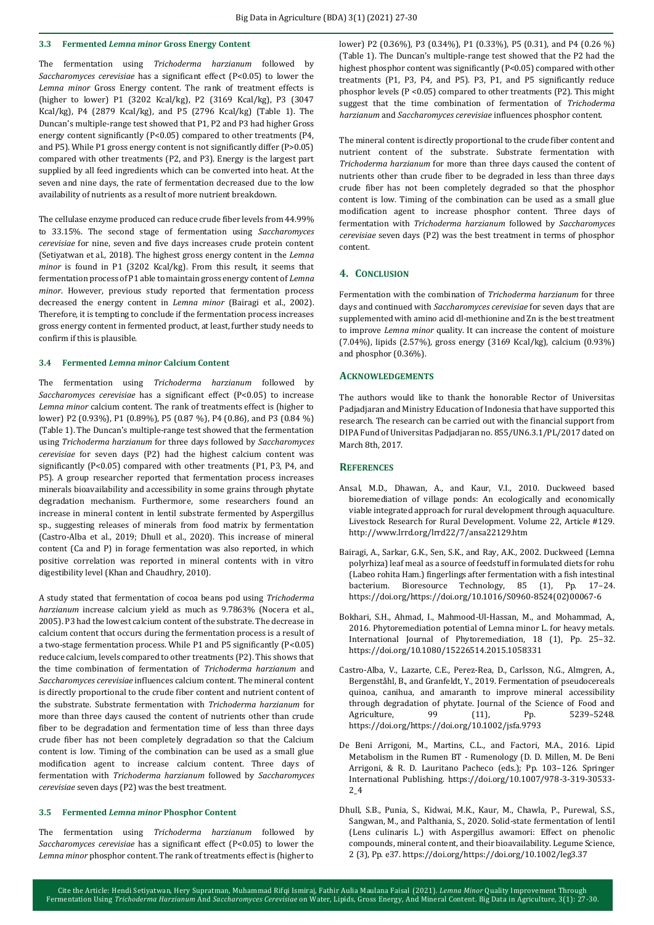## **3.3 Fermented** *Lemna minor* **Gross Energy Content**

The fermentation using *Trichoderma harzianum* followed by *Saccharomyces cerevisiae* has a significant effect (P<0.05) to lower the *Lemna minor* Gross Energy content. The rank of treatment effects is (higher to lower) P1 (3202 Kcal/kg), P2 (3169 Kcal/kg), P3 (3047 Kcal/kg), P4 (2879 Kcal/kg), and P5 (2796 Kcal/kg) (Table 1). The Duncan's multiple-range test showed that P1, P2 and P3 had higher Gross energy content significantly (P<0.05) compared to other treatments (P4, and P5). While P1 gross energy content is not significantly differ (P>0.05) compared with other treatments (P2, and P3). Energy is the largest part supplied by all feed ingredients which can be converted into heat. At the seven and nine days, the rate of fermentation decreased due to the low availability of nutrients as a result of more nutrient breakdown.

The cellulase enzyme produced can reduce crude fiber levels from 44.99% to 33.15%. The second stage of fermentation using *Saccharomyces cerevisiae* for nine, seven and five days increases crude protein content (Setiyatwan et al., 2018). The highest gross energy content in the *Lemna minor* is found in P1 (3202 Kcal/kg). From this result, it seems that fermentation process of P1 able to maintain gross energy content of *Lemna minor*. However, previous study reported that fermentation process decreased the energy content in *Lemna minor* (Bairagi et al., 2002). Therefore, it is tempting to conclude if the fermentation process increases gross energy content in fermented product, at least, further study needs to confirm if this is plausible.

#### **3.4 Fermented** *Lemna minor* **Calcium Content**

The fermentation using *Trichoderma harzianum* followed by *Saccharomyces cerevisiae* has a significant effect (P<0.05) to increase *Lemna minor* calcium content. The rank of treatments effect is (higher to lower) P2 (0.93%), P1 (0.89%), P5 (0.87 %), P4 (0.86), and P3 (0.84 %) (Table 1). The Duncan's multiple-range test showed that the fermentation using *Trichoderma harzianum* for three days followed by *Saccharomyces cerevisiae* for seven days (P2) had the highest calcium content was significantly (P<0.05) compared with other treatments (P1, P3, P4, and P5). A group researcher reported that fermentation process increases minerals bioavailability and accessibility in some grains through phytate degradation mechanism. Furthermore, some researchers found an increase in mineral content in lentil substrate fermented by Aspergillus sp., suggesting releases of minerals from food matrix by fermentation (Castro-Alba et al., 2019; Dhull et al., 2020). This increase of mineral content (Ca and P) in forage fermentation was also reported, in which positive correlation was reported in mineral contents with in vitro digestibility level (Khan and Chaudhry, 2010).

A study stated that fermentation of cocoa beans pod using *Trichoderma harzianum* increase calcium yield as much as 9.7863% (Nocera et al., 2005). P3 had the lowest calcium content of the substrate. The decrease in calcium content that occurs during the fermentation process is a result of a two-stage fermentation process. While P1 and P5 significantly (P<0.05) reduce calcium, levels compared to other treatments (P2). This shows that the time combination of fermentation of *Trichoderma harzianum* and *Saccharomyces cerevisiae* influences calcium content. The mineral content is directly proportional to the crude fiber content and nutrient content of the substrate. Substrate fermentation with *Trichoderma harzianum* for more than three days caused the content of nutrients other than crude fiber to be degradation and fermentation time of less than three days crude fiber has not been completely degradation so that the Calcium content is low. Timing of the combination can be used as a small glue modification agent to increase calcium content. Three days of fermentation with *Trichoderma harzianum* followed by *Saccharomyces cerevisiae* seven days (P2) was the best treatment.

#### **3.5 Fermented** *Lemna minor* **Phosphor Content**

The fermentation using *Trichoderma harzianum* followed by *Saccharomyces cerevisiae* has a significant effect (P<0.05) to lower the *Lemna minor* phosphor content. The rank of treatments effect is (higher to lower) P2 (0.36%), P3 (0.34%), P1 (0.33%), P5 (0.31), and P4 (0.26 %) (Table 1). The Duncan's multiple-range test showed that the P2 had the highest phosphor content was significantly (P<0.05) compared with other treatments (P1, P3, P4, and P5). P3, P1, and P5 significantly reduce phosphor levels  $(P < 0.05)$  compared to other treatments  $(P2)$ . This might suggest that the time combination of fermentation of *Trichoderma harzianum* and *Saccharomyces cerevisiae* influences phosphor content.

The mineral content is directly proportional to the crude fiber content and nutrient content of the substrate. Substrate fermentation with *Trichoderma harzianum* for more than three days caused the content of nutrients other than crude fiber to be degraded in less than three days crude fiber has not been completely degraded so that the phosphor content is low. Timing of the combination can be used as a small glue modification agent to increase phosphor content. Three days of fermentation with *Trichoderma harzianum* followed by *Saccharomyces cerevisiae* seven days (P2) was the best treatment in terms of phosphor content.

#### **4. CONCLUSION**

Fermentation with the combination of *Trichoderma harzianum* for three days and continued with *Saccharomyces cerevisiae* for seven days that are supplemented with amino acid dl-methionine and Zn is the best treatment to improve *Lemna minor* quality. It can increase the content of moisture (7.04%), lipids (2.57%), gross energy (3169 Kcal/kg), calcium (0.93%) and phosphor (0.36%).

#### **ACKNOWLEDGEMENTS**

The authors would like to thank the honorable Rector of Universitas Padjadjaran and Ministry Education of Indonesia that have supported this research. The research can be carried out with the financial support from DIPA Fund of Universitas Padjadjaran no. 855/UN6.3.1/PL/2017 dated on March 8th, 2017.

### **REFERENCES**

- Ansal, M.D., Dhawan, A., and Kaur, V.I., 2010. Duckweed based bioremediation of village ponds: An ecologically and economically viable integrated approach for rural development through aquaculture. Livestock Research for Rural Development. Volume 22, Article #129. http://www.lrrd.org/lrrd22/7/ansa22129.htm
- Bairagi, A., Sarkar, G.K., Sen, S.K., and Ray, A.K., 2002. Duckweed (Lemna polyrhiza) leaf meal as a source of feedstuff in formulated diets for rohu (Labeo rohita Ham.) fingerlings after fermentation with a fish intestinal bacterium. Bioresource Technology, 85 (1), Pp. 17–24. https://doi.org/https://doi.org/10.1016/S0960-8524(02)00067-6
- Bokhari, S.H., Ahmad, I., Mahmood-Ul-Hassan, M., and Mohammad, A., 2016. Phytoremediation potential of Lemna minor L. for heavy metals. International Journal of Phytoremediation, 18 (1), Pp. 25–32. https://doi.org/10.1080/15226514.2015.1058331
- Castro-Alba, V., Lazarte, C.E., Perez-Rea, D., Carlsson, N.G., Almgren, A., Bergenståhl, B., and Granfeldt, Y., 2019. Fermentation of pseudocereals quinoa, canihua, and amaranth to improve mineral accessibility through degradation of phytate. Journal of the Science of Food and Agriculture, 99 (11), Pp. 5239-5248. https://doi.org/https://doi.org/10.1002/jsfa.9793
- De Beni Arrigoni, M., Martins, C.L., and Factori, M.A., 2016. Lipid Metabolism in the Rumen BT - Rumenology (D. D. Millen, M. De Beni Arrigoni, & R. D. Lauritano Pacheco (eds.); Pp. 103–126. Springer International Publishing. https://doi.org/10.1007/978-3-319-30533- 2\_4
- Dhull, S.B., Punia, S., Kidwai, M.K., Kaur, M., Chawla, P., Purewal, S.S., Sangwan, M., and Palthania, S., 2020. Solid-state fermentation of lentil (Lens culinaris L.) with Aspergillus awamori: Effect on phenolic compounds, mineral content, and their bioavailability. Legume Science, 2 (3), Pp. e37. https://doi.org/https://doi.org/10.1002/leg3.37